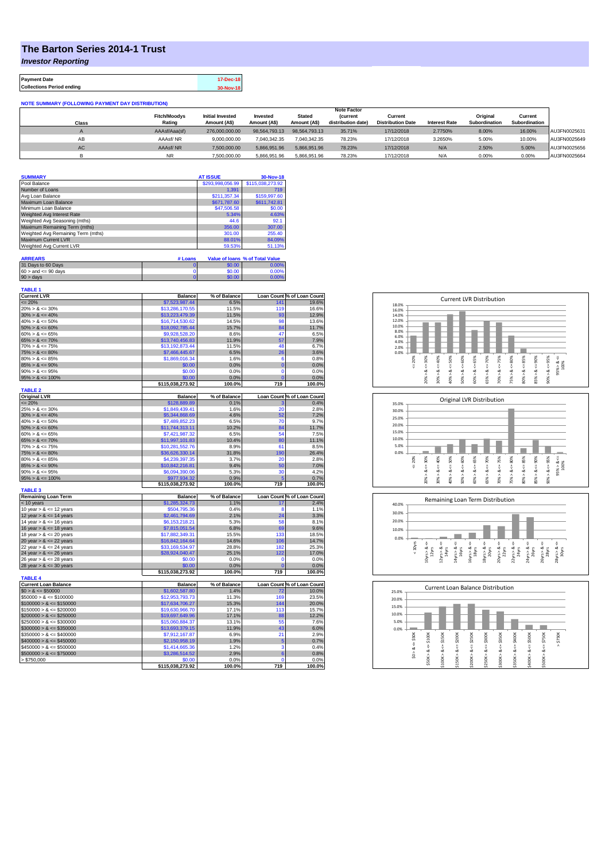## **The Barton Series 2014-1 Trust**

*Investor Reporting*

**Payment Date 17-Dec-18 Collections Period ending 30-Nov-18**

| <b>NOTE SUMMARY (FOLLOWING PAYMENT DAY DISTRIBUTION)</b> |  |
|----------------------------------------------------------|--|
|----------------------------------------------------------|--|

|       |                     | <b>Note Factor</b>      |               |               |                    |                          |                      |               |               |              |
|-------|---------------------|-------------------------|---------------|---------------|--------------------|--------------------------|----------------------|---------------|---------------|--------------|
|       | <b>Fitch/Moodys</b> | <b>Initial Invested</b> | Invested      | <b>Stated</b> | <b>(current</b>    | Current                  |                      | Original      | Current       |              |
| Class | Rating              | Amount (A\$)            | Amount (A\$)  | Amount (A\$)  | distribution date) | <b>Distribution Date</b> | <b>Interest Rate</b> | Subordination | Subordination |              |
|       | AAAsf/Aaa(sf)       | 276,000,000.00          | 98.564.793.13 | 98.564.793.13 | 35.71%             | 17/12/2018               | 2.7750%              | 8.00%         | 16.00%        | AU3FN0025631 |
| AB    | AAAsf/NR            | 9.000.000.00            | 7.040.342.35  | 7.040.342.35  | 78.23%             | 17/12/2018               | 3.2650%              | 5.00%         | 10.00%        | AU3FN0025649 |
| AC    | AAAsf/NR            | 7,500,000.00            | 5,866,951.96  | 5.866.951.96  | 78.23%             | 17/12/2018               | N/A                  | 2.50%         | 5.00%         | AU3FN0025656 |
|       | <b>NR</b>           | 7.500.000.00            | 5.866.951.96  | 5.866.951.96  | 78.23%             | 17/12/2018               | N/A                  | 0.00%         | 0.00%         | AU3FN0025664 |

| <b>SUMMARY</b>                     |         | <b>AT ISSUE</b>  | 30-Nov-18                       |
|------------------------------------|---------|------------------|---------------------------------|
| Pool Balance                       |         | \$293,998,056.99 | \$115,038,273.92                |
| Number of Loans                    |         | 1.391            | 719                             |
| Avg Loan Balance                   |         | \$211,357,34     | \$159,997.60                    |
| Maximum Loan Balance               |         | \$671,787.60     | \$611,742.81                    |
| Minimum Loan Balance               |         | \$47,506.58      | \$0.00                          |
| Weighted Avg Interest Rate         |         | 5.34%            | 4.63%                           |
| Weighted Avg Seasoning (mths)      |         | 44.6             | 92.1                            |
| Maximum Remaining Term (mths)      |         | 356.00           | 307.00                          |
| Weighted Avg Remaining Term (mths) |         | 301.00           | 255.40                          |
| Maximum Current LVR                |         | 88.01%           | 84.09%                          |
| Weighted Avg Current LVR           |         | 59.53%           | 51.13%                          |
|                                    |         |                  |                                 |
| <b>ARREARS</b>                     | # Loans |                  | Value of Ioans % of Total Value |

| 31 Days to 60 Days        | \$0.00 | 0.00% |
|---------------------------|--------|-------|
| $60 >$ and $\leq 90$ days | \$0.00 | 0.00% |
| $90 >$ days               | \$0.00 | 0.00% |

| <b>TABLE 1</b><br><b>Current LVR</b> | <b>Balance</b>   | % of Balance |                         | Loan Count % of Loan Count |
|--------------------------------------|------------------|--------------|-------------------------|----------------------------|
| $\leq$ 20%                           | \$7,523,987.44   | 6.5%         | 141                     | 19.6%                      |
| $20\% > 8 \le 30\%$                  | \$13,286,170.55  | 11.5%        | 119                     | 16.6%                      |
| $30\% > 8 \le 40\%$                  | \$13,223,479.39  | 11.5%        | 93                      | 12.9%                      |
| $40\% > 8 \le 50\%$                  | \$16,714,530.62  | 14.5%        | 98                      | 13.6%                      |
| $50\% > 8 \le 60\%$                  | \$18,092,785.44  | 15.7%        | 84                      | 11.7%                      |
| $60\% > 8 \le 65\%$                  | \$9,928,528.20   | 8.6%         | 47                      | 6.5%                       |
| $65\% > 8 \le 70\%$                  | \$13,740,456.83  | 11.9%        | 57                      | 7.9%                       |
| $70\% > 8 \le 75\%$                  | \$13,192,873.44  | 11.5%        | 48                      | 6.7%                       |
| $75\% > 8 \le 80\%$                  | \$7,466,445.67   | 6.5%         | 26                      | 3.6%                       |
| $80\% > 8 \le 85\%$                  | \$1,869,016.34   | 1.6%         | 6                       | 0.8%                       |
| $85\% > 8 \le 90\%$                  | \$0.00           | 0.0%         | $\bf{0}$                | 0.0%                       |
| $90\% > 8 \le 95\%$                  | \$0.00           | 0.0%         | $\mathbf 0$             | 0.0%                       |
| $95\% > 8 \le 100\%$                 | \$0.00           | 0.0%         |                         | 0.0%                       |
|                                      | \$115,038,273.92 | 100.0%       | 719                     | 100.0%                     |
| <b>TABLE 2</b>                       |                  |              |                         |                            |
| <b>Original LVR</b>                  | <b>Balance</b>   | % of Balance |                         | Loan Count % of Loan Count |
| $= 20%$                              | \$128,889.89     | 0.1%         |                         | 0.4%                       |
| $25\% > 8 \le 30\%$                  | \$1.849.439.41   | 1.6%         | 20                      | 2.8%                       |
| $30\% > 8 \le 40\%$                  | \$5,344,868.69   | 4.6%         | 52                      | 7.2%                       |
| $40\% > 8 \le 50\%$                  | \$7,489,852.23   | 6.5%         | 70                      | 9.7%                       |
| $50\% > 8 \le 60\%$                  | \$11,744,313.11  | 10.2%        | 84                      | 11.7%                      |
| $60\% > 8 \le 65\%$                  | \$7,421,987.32   | 6.5%         | 54                      | 7.5%                       |
| $65\% > 8 \le 70\%$                  | \$11,997,101.83  | 10.4%        | 80                      | 11.1%                      |
| $70\% > 8 \le 75\%$                  | \$10,281,552.76  | 8.9%         | 61                      | 8.5%                       |
| $75\% > 8 \le 80\%$                  | \$36,626,330.14  | 31.8%        | 190                     | 26.4%                      |
| $80\% > 8 \le 85\%$                  | \$4.239.397.35   | 3.7%         | 20                      | 2.8%                       |
| $85\% > 8 \le 90\%$                  | \$10,842,216.81  | 9.4%         | 50                      | 7.0%                       |
| $90\% > 8 \le 95\%$                  | \$6,094,390.06   | 5.3%         | 30                      | 4.2%                       |
| $95\% > 8 \le 100\%$                 | \$977,934.32     | 0.9%         |                         | 0.7%                       |
|                                      | \$115,038,273.92 | 100.0%       | 719                     | 100.0%                     |
| <b>TABLE 3</b>                       |                  |              |                         |                            |
| <b>Remaining Loan Term</b>           | <b>Balance</b>   | % of Balance |                         | Loan Count % of Loan Count |
| < 10 years                           | \$1,285,324.73   | 1.1%         | 17                      | 2.4%                       |
| 10 year $> 8 \le 12$ years           | \$504,795.36     | 0.4%         | 8                       | 1.1%                       |
| 12 year $> 8 \le 14$ years           | \$2,461,794.69   | 2.1%         | 24                      | 3.3%                       |
| 14 year $> 8 \le 16$ years           | \$6,153,218.21   | 5.3%         | 58                      | 8.1%                       |
| 16 year $> 8 \le 18$ years           | \$7,815,051.54   | 6.8%         | 69                      | 9.6%                       |
| 18 year $> 8 \le 20$ years           | \$17,882,349.31  | 15.5%        | 133                     | 18.5%                      |
| 20 year $> 8 \le 22$ years           | \$16,842,164.64  | 14.6%        | 106                     | 14.7%                      |
| 22 year $> 8 \le 24$ years           | \$33,169,534.97  | 28.8%        | 182                     | 25.3%                      |
| 24 year $> 8 \le 26$ years           | \$28,924,040.47  | 25.1%        | 122                     | 17.0%                      |
| 26 year $> 8 \le 28$ years           | \$0.00           | 0.0%         | ٢                       | 0.0%                       |
| 28 year $> 8 \le 30$ years           | \$0.00           | 0.0%         | O                       | 0.0%                       |
|                                      | \$115,038,273.92 | 100.0%       | 719                     | 100.0%                     |
| <b>TABLE 4</b>                       |                  |              |                         |                            |
| <b>Current Loan Balance</b>          | <b>Balance</b>   | % of Balance |                         | Loan Count % of Loan Count |
| $$0 > 8 \le $50000$                  | \$1,602,587.80   | 1.4%         | 72                      | 10.0%                      |
| $$50000 > 8 \le $100000$             | \$12,953,793.73  | 11.3%        | 169                     | 23.5%                      |
| $$100000 > 8 \leq $150000$           | \$17,634,706.27  | 15.3%        | 144                     | 20.0%                      |
| $$150000 > 8 \leq $200000$           | \$19,630,966.70  | 17.1%        | 113                     | 15.7%                      |
| $$200000 > 8 \leq $250000$           | \$19,697,649.96  | 17.1%        | 88                      | 12.2%                      |
| $$250000 > 8 \leq $300000$           | \$15,060,884.37  | 13.1%        | 55                      | 7.6%                       |
| $$300000 > 8 \leq $350000$           | \$13,693,379.15  | 11.9%        | 43                      | 6.0%                       |
| $$350000 > 8 \le $400000$            | \$7,912,167.87   | 6.9%         | 21                      | 2.9%                       |
| $$400000 > 8 \le $450000$            | \$2,150,958.19   | 1.9%         | 5                       | 0.7%                       |
| $$450000 > 8 \le $500000$            | \$1,414,665.36   | 1.2%         | $\overline{\mathbf{3}}$ | 0.4%                       |
| $$500000 > 8 \le $750000$            | \$3,286,514.52   | 2.9%         | 6                       | 0.8%                       |
| > \$750,000                          | \$0.00           | 0.0%         | $\Omega$                | 0.0%                       |
|                                      | \$115,038,273.92 | 100.0%       | 719                     | 100.0%                     |







| 25.0% |        |        |             |            | Current Loan Balance Distribution |         |             |         |             |        |        |
|-------|--------|--------|-------------|------------|-----------------------------------|---------|-------------|---------|-------------|--------|--------|
| 20.0% |        |        |             |            |                                   |         |             |         |             |        |        |
| 15.0% |        |        |             |            |                                   |         |             |         |             |        |        |
| 10.0% |        |        |             |            |                                   |         |             |         |             |        |        |
| 5.0%  |        |        |             |            |                                   |         |             |         |             |        |        |
| 0.0%  |        |        |             |            |                                   |         |             |         |             |        |        |
|       | \$50K  | \$100K | \$150K      | $<= $200K$ | \$250K                            | \$300K  | \$350K      | \$400K  | \$500K      | \$750K | \$750K |
|       | ő      | ő      |             |            |                                   |         |             |         |             |        | Ä      |
|       | ∞<br>Λ | ಹ      | ű<br>œ      |            | ű<br>œ                            | ₹<br>∞  | V<br>œ      | Ų<br>ಹ  | ű<br>œ      | ű<br>∞ |        |
|       | 8      | \$50K> | ٨<br>\$100K | \$150K>    | ٨<br>\$200K                       | \$250K> | ٨<br>\$300K | \$350K> | ٨<br>\$400K | \$500K |        |